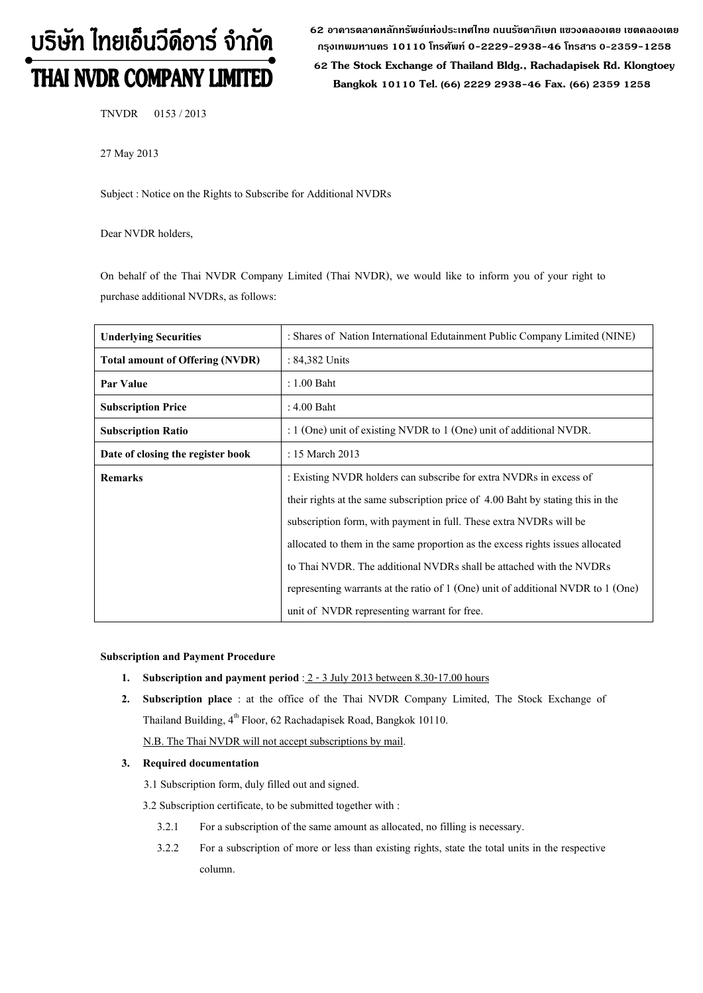# บริษัท ไทยเอ็นวีดีอาร์ จำกัด THAI NVDR COMPANY LIMITED

62 อาดารตลาดหลักทรัพย์แห่งประเทศไทย ถนนรัซดาภิเษก แขวงดลองเตย เขตดลองเตย **ก"# 10110 & 0-2229-2938-46 &, 0-2359-1258**

 **62 The Stock Exchange of Thailand Bldg., Rachadapisek Rd. Klongtoey Bangkok 10110 Tel. (66) 2229 2938-46 Fax. (66) 2359 1258**

TNVDR 0153 / 2013

27 May 2013

Subject : Notice on the Rights to Subscribe for Additional NVDRs

Dear NVDR holders,

On behalf of the Thai NVDR Company Limited (Thai NVDR), we would like to inform you of your right to purchase additional NVDRs, as follows:

| <b>Underlying Securities</b>           | : Shares of Nation International Edutainment Public Company Limited (NINE)       |  |  |
|----------------------------------------|----------------------------------------------------------------------------------|--|--|
| <b>Total amount of Offering (NVDR)</b> | $: 84,382$ Units                                                                 |  |  |
| Par Value                              | $: 1.00$ Baht                                                                    |  |  |
| <b>Subscription Price</b>              | : 4.00 Baht                                                                      |  |  |
| <b>Subscription Ratio</b>              | : $1$ (One) unit of existing NVDR to $1$ (One) unit of additional NVDR.          |  |  |
| Date of closing the register book      | : 15 March 2013                                                                  |  |  |
| <b>Remarks</b>                         | : Existing NVDR holders can subscribe for extra NVDRs in excess of               |  |  |
|                                        | their rights at the same subscription price of 4.00 Baht by stating this in the  |  |  |
|                                        | subscription form, with payment in full. These extra NVDRs will be               |  |  |
|                                        | allocated to them in the same proportion as the excess rights issues allocated   |  |  |
|                                        | to Thai NVDR. The additional NVDRs shall be attached with the NVDRs              |  |  |
|                                        | representing warrants at the ratio of 1 (One) unit of additional NVDR to 1 (One) |  |  |
|                                        | unit of NVDR representing warrant for free.                                      |  |  |

## **Subscription and Payment Procedure**

- **1. Subscription and payment period** : 2 3 July 2013 between 8.30-17.00 hours
- **2. Subscription place** : at the office of the Thai NVDR Company Limited, The Stock Exchange of Thailand Building, 4<sup>th</sup> Floor, 62 Rachadapisek Road, Bangkok 10110. N.B. The Thai NVDR will not accept subscriptions by mail.

## **3. Required documentation**

3.1 Subscription form, duly filled out and signed.

3.2 Subscription certificate, to be submitted together with :

- 3.2.1 For a subscription of the same amount as allocated, no filling is necessary.
- 3.2.2 For a subscription of more or less than existing rights, state the total units in the respective column.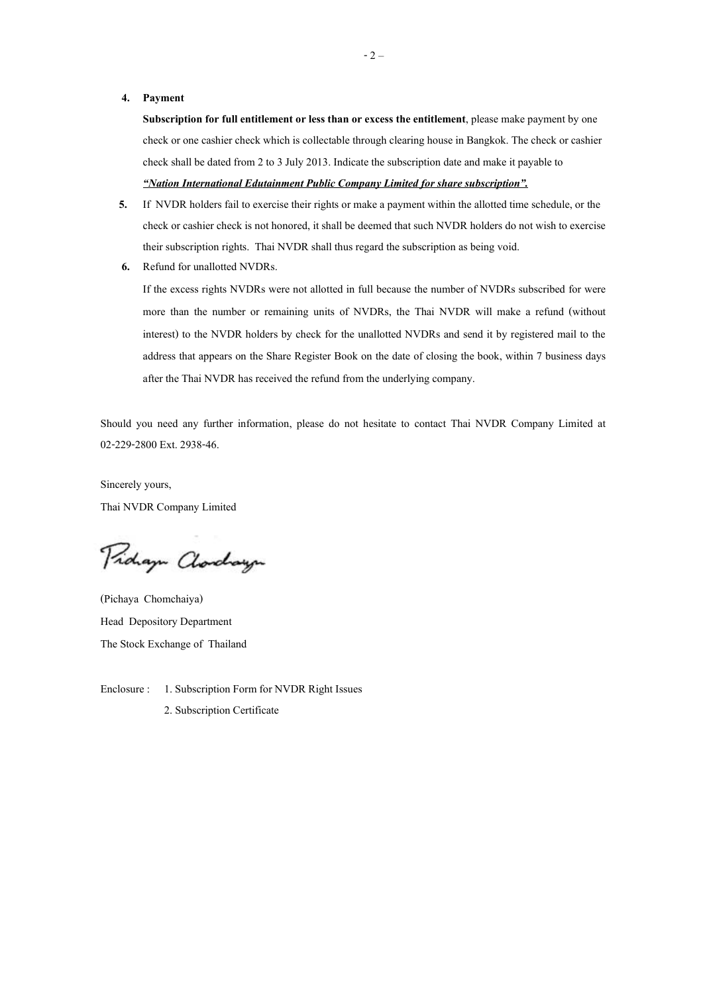## **4. Payment**

**Subscription for full entitlement or less than or excess the entitlement**, please make payment by one check or one cashier check which is collectable through clearing house in Bangkok. The check or cashier check shall be dated from 2 to 3 July 2013. Indicate the subscription date and make it payable to *-Nation International Edutainment Public Company Limited for share subscription.*

- **5.** If NVDR holders fail to exercise their rights or make a payment within the allotted time schedule, or the check or cashier check is not honored, it shall be deemed that such NVDR holders do not wish to exercise their subscription rights. Thai NVDR shall thus regard the subscription as being void.
- **6.** Refund for unallotted NVDRs.

If the excess rights NVDRs were not allotted in full because the number of NVDRs subscribed for were more than the number or remaining units of NVDRs, the Thai NVDR will make a refund (without interest) to the NVDR holders by check for the unallotted NVDRs and send it by registered mail to the address that appears on the Share Register Book on the date of closing the book, within 7 business days after the Thai NVDR has received the refund from the underlying company.

Should you need any further information, please do not hesitate to contact Thai NVDR Company Limited at 02-229-2800 Ext. 2938-46.

Sincerely yours, Thai NVDR Company Limited

Pridaya Clarchaya

(Pichaya Chomchaiya) Head Depository Department The Stock Exchange of Thailand

Enclosure : 1. Subscription Form for NVDR Right Issues

2. Subscription Certificate